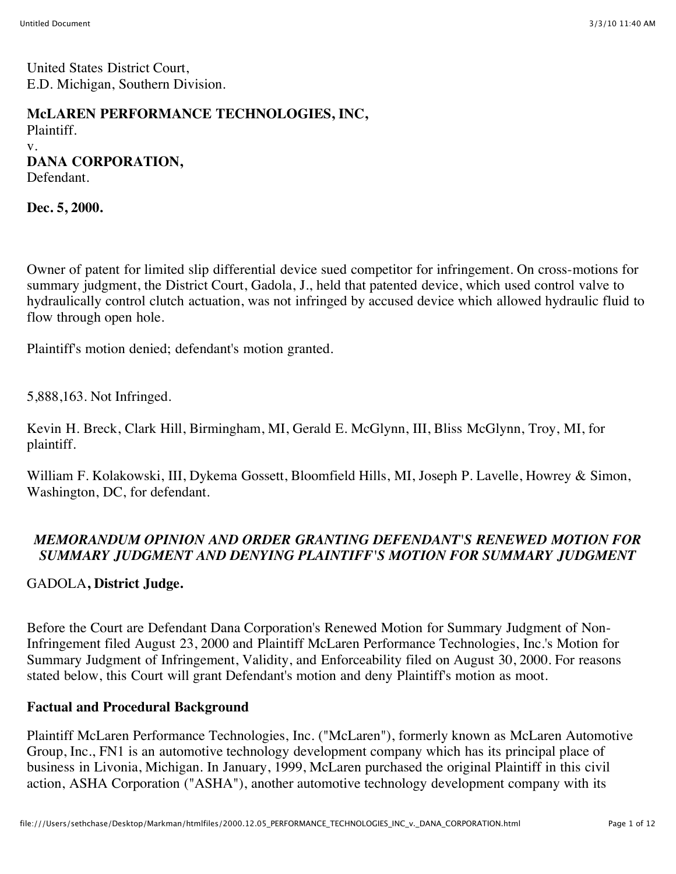United States District Court, E.D. Michigan, Southern Division.

### **McLAREN PERFORMANCE TECHNOLOGIES, INC,**

Plaintiff. v. **DANA CORPORATION,**

Defendant.

**Dec. 5, 2000.**

Owner of patent for limited slip differential device sued competitor for infringement. On cross-motions for summary judgment, the District Court, Gadola, J., held that patented device, which used control valve to hydraulically control clutch actuation, was not infringed by accused device which allowed hydraulic fluid to flow through open hole.

Plaintiff's motion denied; defendant's motion granted.

5,888,163. Not Infringed.

Kevin H. Breck, Clark Hill, Birmingham, MI, Gerald E. McGlynn, III, Bliss McGlynn, Troy, MI, for plaintiff.

William F. Kolakowski, III, Dykema Gossett, Bloomfield Hills, MI, Joseph P. Lavelle, Howrey & Simon, Washington, DC, for defendant.

## *MEMORANDUM OPINION AND ORDER GRANTING DEFENDANT'S RENEWED MOTION FOR SUMMARY JUDGMENT AND DENYING PLAINTIFF'S MOTION FOR SUMMARY JUDGMENT*

## GADOLA**, District Judge.**

Before the Court are Defendant Dana Corporation's Renewed Motion for Summary Judgment of Non-Infringement filed August 23, 2000 and Plaintiff McLaren Performance Technologies, Inc.'s Motion for Summary Judgment of Infringement, Validity, and Enforceability filed on August 30, 2000. For reasons stated below, this Court will grant Defendant's motion and deny Plaintiff's motion as moot.

## **Factual and Procedural Background**

Plaintiff McLaren Performance Technologies, Inc. ("McLaren"), formerly known as McLaren Automotive Group, Inc., FN1 is an automotive technology development company which has its principal place of business in Livonia, Michigan. In January, 1999, McLaren purchased the original Plaintiff in this civil action, ASHA Corporation ("ASHA"), another automotive technology development company with its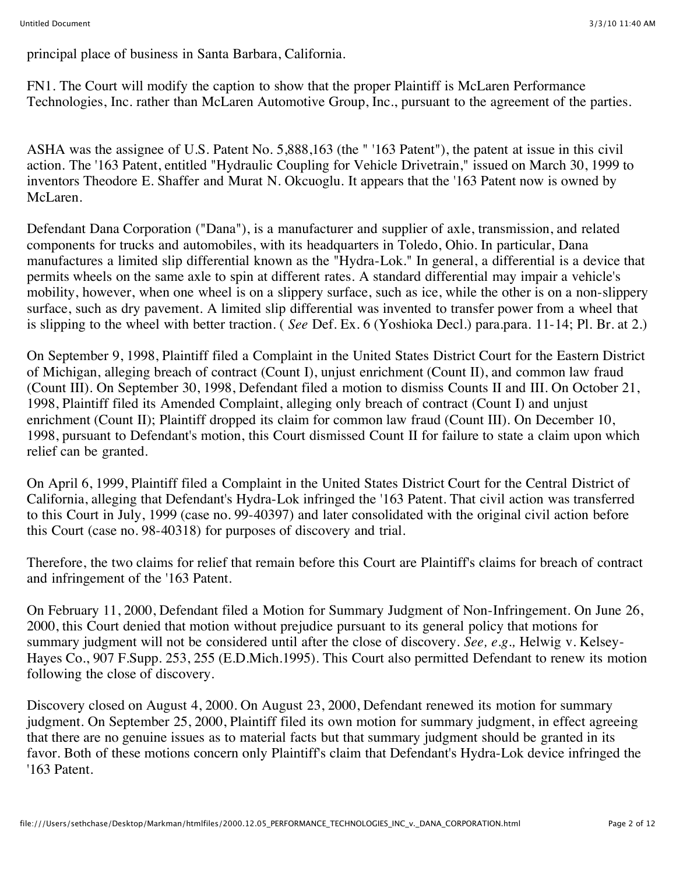principal place of business in Santa Barbara, California.

FN1. The Court will modify the caption to show that the proper Plaintiff is McLaren Performance Technologies, Inc. rather than McLaren Automotive Group, Inc., pursuant to the agreement of the parties.

ASHA was the assignee of U.S. Patent No. 5,888,163 (the " '163 Patent"), the patent at issue in this civil action. The '163 Patent, entitled "Hydraulic Coupling for Vehicle Drivetrain," issued on March 30, 1999 to inventors Theodore E. Shaffer and Murat N. Okcuoglu. It appears that the '163 Patent now is owned by McLaren.

Defendant Dana Corporation ("Dana"), is a manufacturer and supplier of axle, transmission, and related components for trucks and automobiles, with its headquarters in Toledo, Ohio. In particular, Dana manufactures a limited slip differential known as the "Hydra-Lok." In general, a differential is a device that permits wheels on the same axle to spin at different rates. A standard differential may impair a vehicle's mobility, however, when one wheel is on a slippery surface, such as ice, while the other is on a non-slippery surface, such as dry pavement. A limited slip differential was invented to transfer power from a wheel that is slipping to the wheel with better traction. ( *See* Def. Ex. 6 (Yoshioka Decl.) para.para. 11-14; Pl. Br. at 2.)

On September 9, 1998, Plaintiff filed a Complaint in the United States District Court for the Eastern District of Michigan, alleging breach of contract (Count I), unjust enrichment (Count II), and common law fraud (Count III). On September 30, 1998, Defendant filed a motion to dismiss Counts II and III. On October 21, 1998, Plaintiff filed its Amended Complaint, alleging only breach of contract (Count I) and unjust enrichment (Count II); Plaintiff dropped its claim for common law fraud (Count III). On December 10, 1998, pursuant to Defendant's motion, this Court dismissed Count II for failure to state a claim upon which relief can be granted.

On April 6, 1999, Plaintiff filed a Complaint in the United States District Court for the Central District of California, alleging that Defendant's Hydra-Lok infringed the '163 Patent. That civil action was transferred to this Court in July, 1999 (case no. 99-40397) and later consolidated with the original civil action before this Court (case no. 98-40318) for purposes of discovery and trial.

Therefore, the two claims for relief that remain before this Court are Plaintiff's claims for breach of contract and infringement of the '163 Patent.

On February 11, 2000, Defendant filed a Motion for Summary Judgment of Non-Infringement. On June 26, 2000, this Court denied that motion without prejudice pursuant to its general policy that motions for summary judgment will not be considered until after the close of discovery. *See, e.g.,* Helwig v. Kelsey-Hayes Co., 907 F.Supp. 253, 255 (E.D.Mich.1995). This Court also permitted Defendant to renew its motion following the close of discovery.

Discovery closed on August 4, 2000. On August 23, 2000, Defendant renewed its motion for summary judgment. On September 25, 2000, Plaintiff filed its own motion for summary judgment, in effect agreeing that there are no genuine issues as to material facts but that summary judgment should be granted in its favor. Both of these motions concern only Plaintiff's claim that Defendant's Hydra-Lok device infringed the '163 Patent.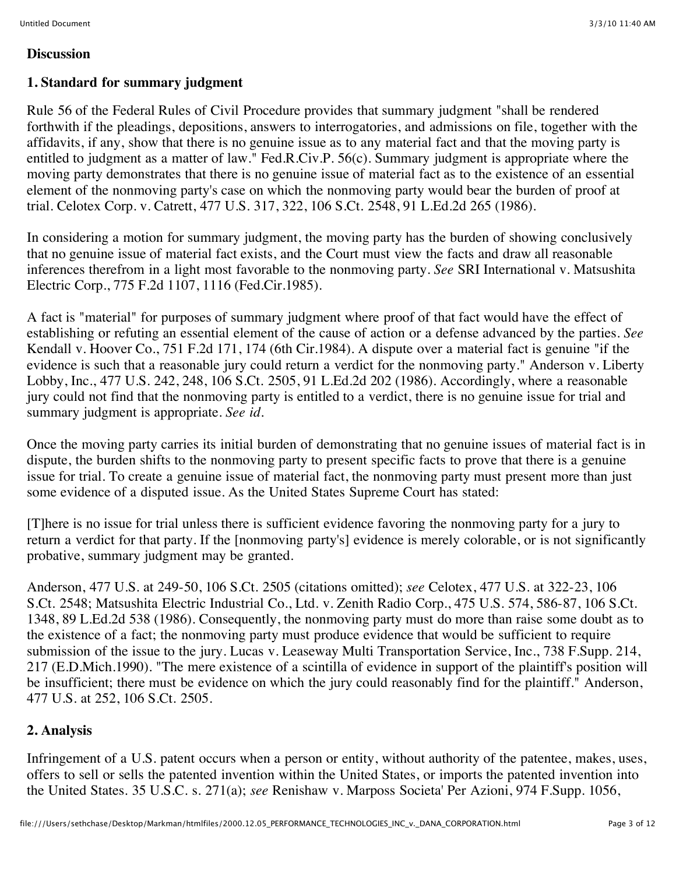### **Discussion**

### **1. Standard for summary judgment**

Rule 56 of the Federal Rules of Civil Procedure provides that summary judgment "shall be rendered forthwith if the pleadings, depositions, answers to interrogatories, and admissions on file, together with the affidavits, if any, show that there is no genuine issue as to any material fact and that the moving party is entitled to judgment as a matter of law." Fed.R.Civ.P. 56(c). Summary judgment is appropriate where the moving party demonstrates that there is no genuine issue of material fact as to the existence of an essential element of the nonmoving party's case on which the nonmoving party would bear the burden of proof at trial. Celotex Corp. v. Catrett, 477 U.S. 317, 322, 106 S.Ct. 2548, 91 L.Ed.2d 265 (1986).

In considering a motion for summary judgment, the moving party has the burden of showing conclusively that no genuine issue of material fact exists, and the Court must view the facts and draw all reasonable inferences therefrom in a light most favorable to the nonmoving party. *See* SRI International v. Matsushita Electric Corp., 775 F.2d 1107, 1116 (Fed.Cir.1985).

A fact is "material" for purposes of summary judgment where proof of that fact would have the effect of establishing or refuting an essential element of the cause of action or a defense advanced by the parties. *See* Kendall v. Hoover Co., 751 F.2d 171, 174 (6th Cir.1984). A dispute over a material fact is genuine "if the evidence is such that a reasonable jury could return a verdict for the nonmoving party." Anderson v. Liberty Lobby, Inc., 477 U.S. 242, 248, 106 S.Ct. 2505, 91 L.Ed.2d 202 (1986). Accordingly, where a reasonable jury could not find that the nonmoving party is entitled to a verdict, there is no genuine issue for trial and summary judgment is appropriate. *See id.*

Once the moving party carries its initial burden of demonstrating that no genuine issues of material fact is in dispute, the burden shifts to the nonmoving party to present specific facts to prove that there is a genuine issue for trial. To create a genuine issue of material fact, the nonmoving party must present more than just some evidence of a disputed issue. As the United States Supreme Court has stated:

[T]here is no issue for trial unless there is sufficient evidence favoring the nonmoving party for a jury to return a verdict for that party. If the [nonmoving party's] evidence is merely colorable, or is not significantly probative, summary judgment may be granted.

Anderson, 477 U.S. at 249-50, 106 S.Ct. 2505 (citations omitted); *see* Celotex, 477 U.S. at 322-23, 106 S.Ct. 2548; Matsushita Electric Industrial Co., Ltd. v. Zenith Radio Corp., 475 U.S. 574, 586-87, 106 S.Ct. 1348, 89 L.Ed.2d 538 (1986). Consequently, the nonmoving party must do more than raise some doubt as to the existence of a fact; the nonmoving party must produce evidence that would be sufficient to require submission of the issue to the jury. Lucas v. Leaseway Multi Transportation Service, Inc., 738 F.Supp. 214, 217 (E.D.Mich.1990). "The mere existence of a scintilla of evidence in support of the plaintiff's position will be insufficient; there must be evidence on which the jury could reasonably find for the plaintiff." Anderson, 477 U.S. at 252, 106 S.Ct. 2505.

## **2. Analysis**

Infringement of a U.S. patent occurs when a person or entity, without authority of the patentee, makes, uses, offers to sell or sells the patented invention within the United States, or imports the patented invention into the United States. 35 U.S.C. s. 271(a); *see* Renishaw v. Marposs Societa' Per Azioni, 974 F.Supp. 1056,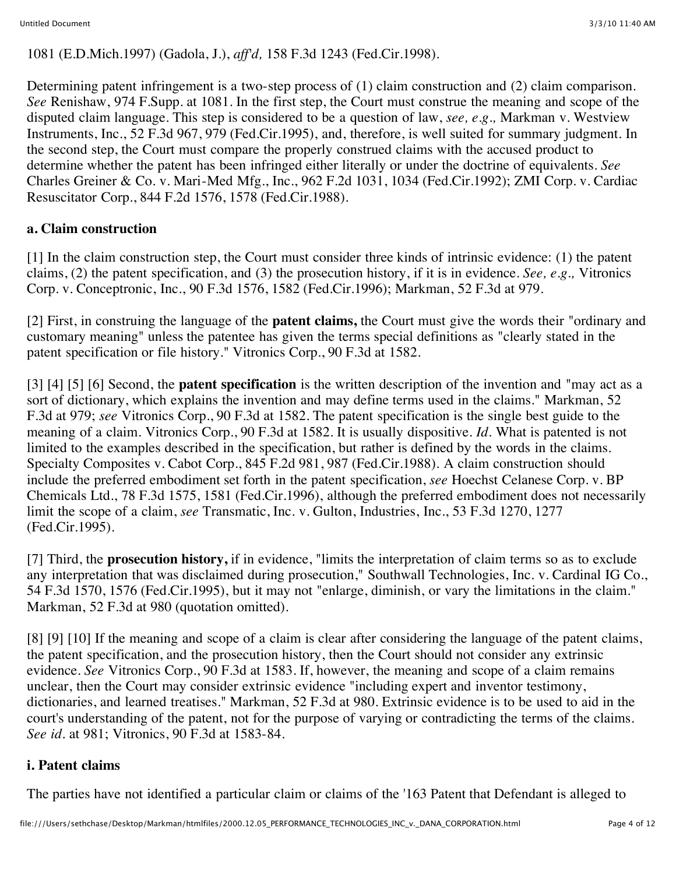1081 (E.D.Mich.1997) (Gadola, J.), *aff'd,* 158 F.3d 1243 (Fed.Cir.1998).

Determining patent infringement is a two-step process of (1) claim construction and (2) claim comparison. *See* Renishaw, 974 F.Supp. at 1081. In the first step, the Court must construe the meaning and scope of the disputed claim language. This step is considered to be a question of law, *see, e.g.,* Markman v. Westview Instruments, Inc., 52 F.3d 967, 979 (Fed.Cir.1995), and, therefore, is well suited for summary judgment. In the second step, the Court must compare the properly construed claims with the accused product to determine whether the patent has been infringed either literally or under the doctrine of equivalents. *See* Charles Greiner & Co. v. Mari-Med Mfg., Inc., 962 F.2d 1031, 1034 (Fed.Cir.1992); ZMI Corp. v. Cardiac Resuscitator Corp., 844 F.2d 1576, 1578 (Fed.Cir.1988).

## **a. Claim construction**

[1] In the claim construction step, the Court must consider three kinds of intrinsic evidence: (1) the patent claims, (2) the patent specification, and (3) the prosecution history, if it is in evidence. *See, e.g.,* Vitronics Corp. v. Conceptronic, Inc., 90 F.3d 1576, 1582 (Fed.Cir.1996); Markman, 52 F.3d at 979.

[2] First, in construing the language of the **patent claims,** the Court must give the words their "ordinary and customary meaning" unless the patentee has given the terms special definitions as "clearly stated in the patent specification or file history." Vitronics Corp., 90 F.3d at 1582.

[3] [4] [5] [6] Second, the **patent specification** is the written description of the invention and "may act as a sort of dictionary, which explains the invention and may define terms used in the claims." Markman, 52 F.3d at 979; *see* Vitronics Corp., 90 F.3d at 1582. The patent specification is the single best guide to the meaning of a claim. Vitronics Corp., 90 F.3d at 1582. It is usually dispositive. *Id.* What is patented is not limited to the examples described in the specification, but rather is defined by the words in the claims. Specialty Composites v. Cabot Corp., 845 F.2d 981, 987 (Fed.Cir.1988). A claim construction should include the preferred embodiment set forth in the patent specification, *see* Hoechst Celanese Corp. v. BP Chemicals Ltd., 78 F.3d 1575, 1581 (Fed.Cir.1996), although the preferred embodiment does not necessarily limit the scope of a claim, *see* Transmatic, Inc. v. Gulton, Industries, Inc., 53 F.3d 1270, 1277 (Fed.Cir.1995).

[7] Third, the **prosecution history,** if in evidence, "limits the interpretation of claim terms so as to exclude any interpretation that was disclaimed during prosecution," Southwall Technologies, Inc. v. Cardinal IG Co., 54 F.3d 1570, 1576 (Fed.Cir.1995), but it may not "enlarge, diminish, or vary the limitations in the claim." Markman, 52 F.3d at 980 (quotation omitted).

[8] [9] [10] If the meaning and scope of a claim is clear after considering the language of the patent claims, the patent specification, and the prosecution history, then the Court should not consider any extrinsic evidence. *See* Vitronics Corp., 90 F.3d at 1583. If, however, the meaning and scope of a claim remains unclear, then the Court may consider extrinsic evidence "including expert and inventor testimony, dictionaries, and learned treatises." Markman, 52 F.3d at 980. Extrinsic evidence is to be used to aid in the court's understanding of the patent, not for the purpose of varying or contradicting the terms of the claims. *See id.* at 981; Vitronics, 90 F.3d at 1583-84.

## **i. Patent claims**

The parties have not identified a particular claim or claims of the '163 Patent that Defendant is alleged to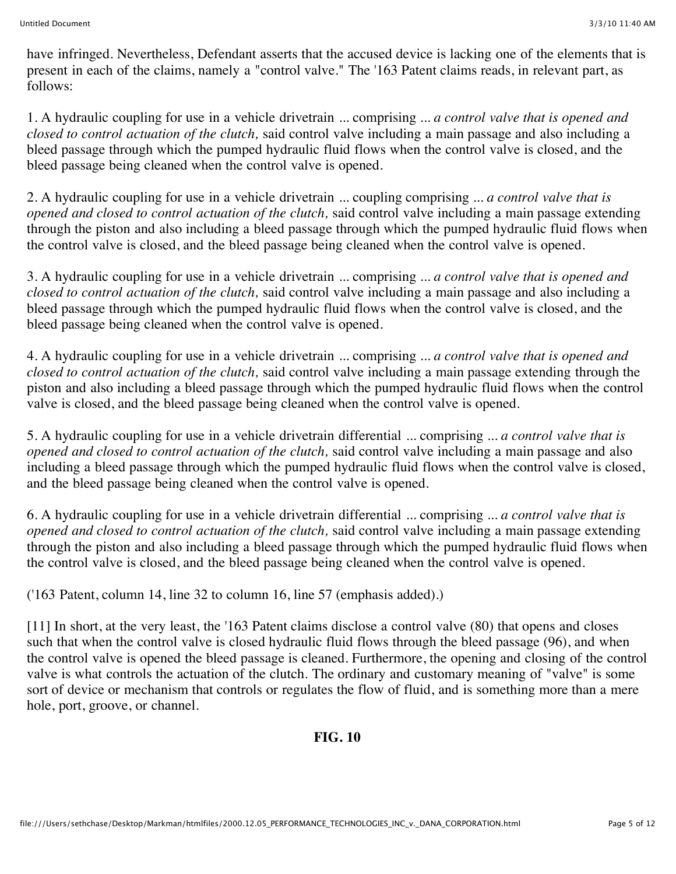have infringed. Nevertheless, Defendant asserts that the accused device is lacking one of the elements that is present in each of the claims, namely a "control valve." The '163 Patent claims reads, in relevant part, as follows:

1. A hydraulic coupling for use in a vehicle drivetrain ... comprising ... *a control valve that is opened and closed to control actuation of the clutch,* said control valve including a main passage and also including a bleed passage through which the pumped hydraulic fluid flows when the control valve is closed, and the bleed passage being cleaned when the control valve is opened.

2. A hydraulic coupling for use in a vehicle drivetrain ... coupling comprising ... *a control valve that is opened and closed to control actuation of the clutch,* said control valve including a main passage extending through the piston and also including a bleed passage through which the pumped hydraulic fluid flows when the control valve is closed, and the bleed passage being cleaned when the control valve is opened.

3. A hydraulic coupling for use in a vehicle drivetrain ... comprising ... *a control valve that is opened and closed to control actuation of the clutch,* said control valve including a main passage and also including a bleed passage through which the pumped hydraulic fluid flows when the control valve is closed, and the bleed passage being cleaned when the control valve is opened.

4. A hydraulic coupling for use in a vehicle drivetrain ... comprising ... *a control valve that is opened and closed to control actuation of the clutch,* said control valve including a main passage extending through the piston and also including a bleed passage through which the pumped hydraulic fluid flows when the control valve is closed, and the bleed passage being cleaned when the control valve is opened.

5. A hydraulic coupling for use in a vehicle drivetrain differential ... comprising ... *a control valve that is opened and closed to control actuation of the clutch,* said control valve including a main passage and also including a bleed passage through which the pumped hydraulic fluid flows when the control valve is closed, and the bleed passage being cleaned when the control valve is opened.

6. A hydraulic coupling for use in a vehicle drivetrain differential ... comprising ... *a control valve that is opened and closed to control actuation of the clutch,* said control valve including a main passage extending through the piston and also including a bleed passage through which the pumped hydraulic fluid flows when the control valve is closed, and the bleed passage being cleaned when the control valve is opened.

('163 Patent, column 14, line 32 to column 16, line 57 (emphasis added).)

[11] In short, at the very least, the '163 Patent claims disclose a control valve (80) that opens and closes such that when the control valve is closed hydraulic fluid flows through the bleed passage (96), and when the control valve is opened the bleed passage is cleaned. Furthermore, the opening and closing of the control valve is what controls the actuation of the clutch. The ordinary and customary meaning of "valve" is some sort of device or mechanism that controls or regulates the flow of fluid, and is something more than a mere hole, port, groove, or channel.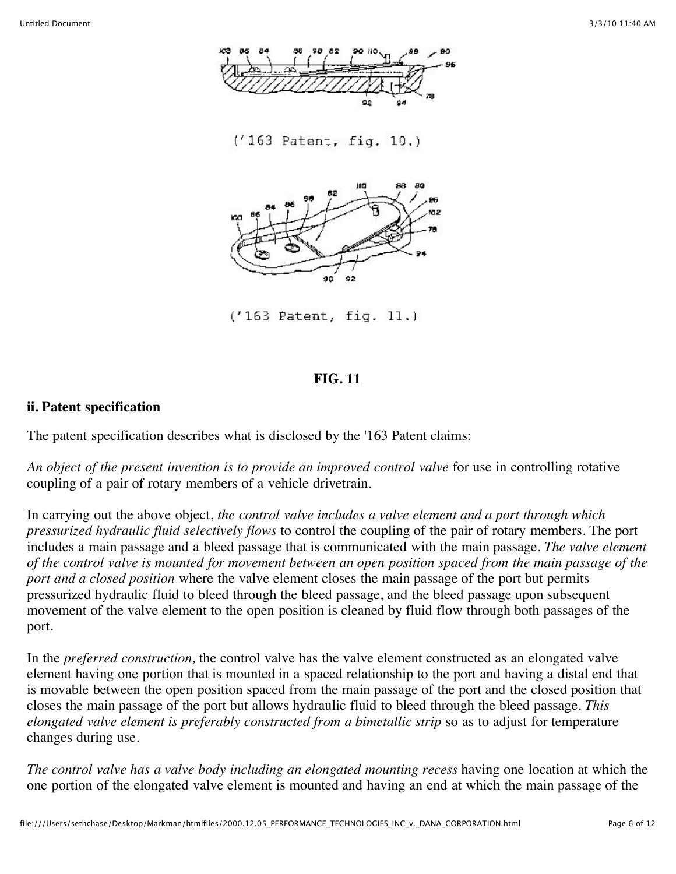

 $('163$  Patent, fig.  $11.)$ 

#### **FIG. 11**

#### **ii. Patent specification**

The patent specification describes what is disclosed by the '163 Patent claims:

*An object of the present invention is to provide an improved control valve* for use in controlling rotative coupling of a pair of rotary members of a vehicle drivetrain.

In carrying out the above object, *the control valve includes a valve element and a port through which pressurized hydraulic fluid selectively flows* to control the coupling of the pair of rotary members. The port includes a main passage and a bleed passage that is communicated with the main passage. *The valve element of the control valve is mounted for movement between an open position spaced from the main passage of the port and a closed position* where the valve element closes the main passage of the port but permits pressurized hydraulic fluid to bleed through the bleed passage, and the bleed passage upon subsequent movement of the valve element to the open position is cleaned by fluid flow through both passages of the port.

In the *preferred construction,* the control valve has the valve element constructed as an elongated valve element having one portion that is mounted in a spaced relationship to the port and having a distal end that is movable between the open position spaced from the main passage of the port and the closed position that closes the main passage of the port but allows hydraulic fluid to bleed through the bleed passage. *This elongated valve element is preferably constructed from a bimetallic strip* so as to adjust for temperature changes during use.

*The control valve has a valve body including an elongated mounting recess* having one location at which the one portion of the elongated valve element is mounted and having an end at which the main passage of the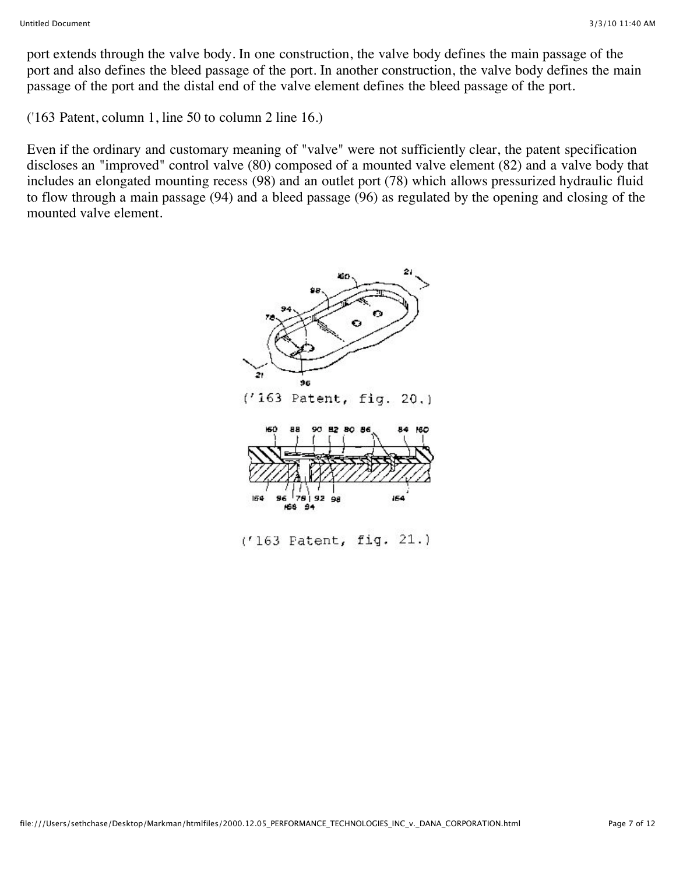port extends through the valve body. In one construction, the valve body defines the main passage of the port and also defines the bleed passage of the port. In another construction, the valve body defines the main passage of the port and the distal end of the valve element defines the bleed passage of the port.

('163 Patent, column 1, line 50 to column 2 line 16.)

Even if the ordinary and customary meaning of "valve" were not sufficiently clear, the patent specification discloses an "improved" control valve (80) composed of a mounted valve element (82) and a valve body that includes an elongated mounting recess (98) and an outlet port (78) which allows pressurized hydraulic fluid to flow through a main passage (94) and a bleed passage (96) as regulated by the opening and closing of the mounted valve element.



 $(163$  Patent, fig.  $21.)$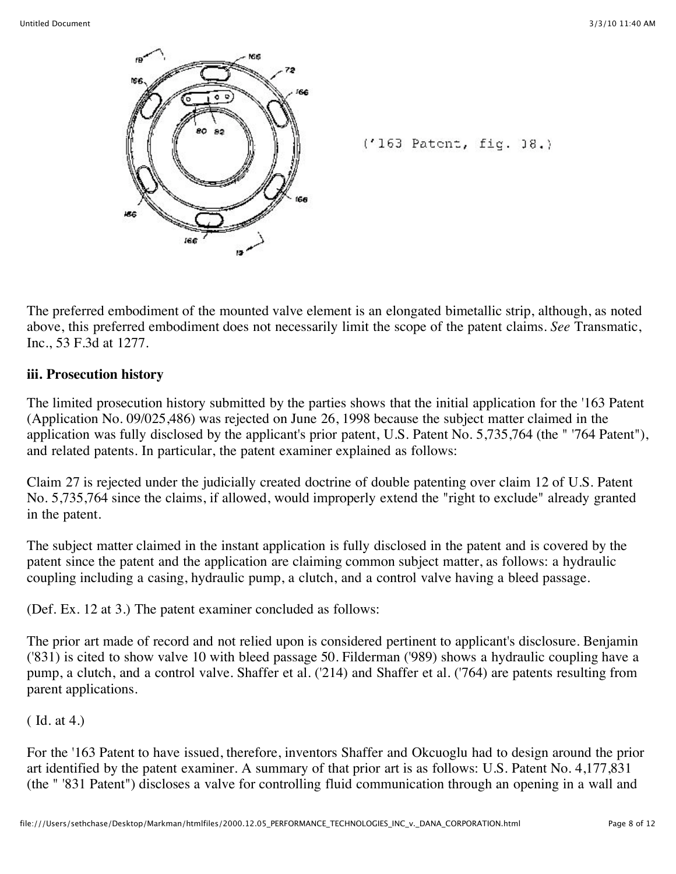

 $('163$  Patent, fig.  $]8.$ 

The preferred embodiment of the mounted valve element is an elongated bimetallic strip, although, as noted above, this preferred embodiment does not necessarily limit the scope of the patent claims. *See* Transmatic, Inc., 53 F.3d at 1277.

### **iii. Prosecution history**

The limited prosecution history submitted by the parties shows that the initial application for the '163 Patent (Application No. 09/025,486) was rejected on June 26, 1998 because the subject matter claimed in the application was fully disclosed by the applicant's prior patent, U.S. Patent No. 5,735,764 (the " '764 Patent"), and related patents. In particular, the patent examiner explained as follows:

Claim 27 is rejected under the judicially created doctrine of double patenting over claim 12 of U.S. Patent No. 5,735,764 since the claims, if allowed, would improperly extend the "right to exclude" already granted in the patent.

The subject matter claimed in the instant application is fully disclosed in the patent and is covered by the patent since the patent and the application are claiming common subject matter, as follows: a hydraulic coupling including a casing, hydraulic pump, a clutch, and a control valve having a bleed passage.

(Def. Ex. 12 at 3.) The patent examiner concluded as follows:

The prior art made of record and not relied upon is considered pertinent to applicant's disclosure. Benjamin ('831) is cited to show valve 10 with bleed passage 50. Filderman ('989) shows a hydraulic coupling have a pump, a clutch, and a control valve. Shaffer et al. ('214) and Shaffer et al. ('764) are patents resulting from parent applications.

( Id. at 4.)

For the '163 Patent to have issued, therefore, inventors Shaffer and Okcuoglu had to design around the prior art identified by the patent examiner. A summary of that prior art is as follows: U.S. Patent No. 4,177,831 (the " '831 Patent") discloses a valve for controlling fluid communication through an opening in a wall and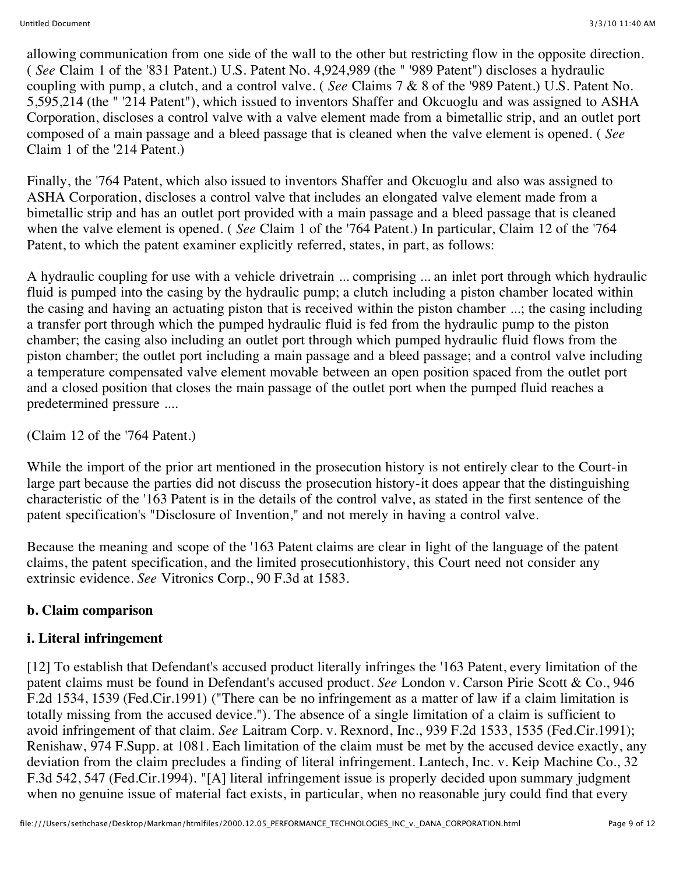allowing communication from one side of the wall to the other but restricting flow in the opposite direction. ( *See* Claim 1 of the '831 Patent.) U.S. Patent No. 4,924,989 (the " '989 Patent") discloses a hydraulic coupling with pump, a clutch, and a control valve. ( *See* Claims 7 & 8 of the '989 Patent.) U.S. Patent No. 5,595,214 (the " '214 Patent"), which issued to inventors Shaffer and Okcuoglu and was assigned to ASHA Corporation, discloses a control valve with a valve element made from a bimetallic strip, and an outlet port composed of a main passage and a bleed passage that is cleaned when the valve element is opened. ( *See* Claim 1 of the '214 Patent.)

Finally, the '764 Patent, which also issued to inventors Shaffer and Okcuoglu and also was assigned to ASHA Corporation, discloses a control valve that includes an elongated valve element made from a bimetallic strip and has an outlet port provided with a main passage and a bleed passage that is cleaned when the valve element is opened. ( *See* Claim 1 of the '764 Patent.) In particular, Claim 12 of the '764 Patent, to which the patent examiner explicitly referred, states, in part, as follows:

A hydraulic coupling for use with a vehicle drivetrain ... comprising ... an inlet port through which hydraulic fluid is pumped into the casing by the hydraulic pump; a clutch including a piston chamber located within the casing and having an actuating piston that is received within the piston chamber ...; the casing including a transfer port through which the pumped hydraulic fluid is fed from the hydraulic pump to the piston chamber; the casing also including an outlet port through which pumped hydraulic fluid flows from the piston chamber; the outlet port including a main passage and a bleed passage; and a control valve including a temperature compensated valve element movable between an open position spaced from the outlet port and a closed position that closes the main passage of the outlet port when the pumped fluid reaches a predetermined pressure ....

(Claim 12 of the '764 Patent.)

While the import of the prior art mentioned in the prosecution history is not entirely clear to the Court-in large part because the parties did not discuss the prosecution history-it does appear that the distinguishing characteristic of the '163 Patent is in the details of the control valve, as stated in the first sentence of the patent specification's "Disclosure of Invention," and not merely in having a control valve.

Because the meaning and scope of the '163 Patent claims are clear in light of the language of the patent claims, the patent specification, and the limited prosecutionhistory, this Court need not consider any extrinsic evidence. *See* Vitronics Corp., 90 F.3d at 1583.

## **b. Claim comparison**

## **i. Literal infringement**

[12] To establish that Defendant's accused product literally infringes the '163 Patent, every limitation of the patent claims must be found in Defendant's accused product. *See* London v. Carson Pirie Scott & Co., 946 F.2d 1534, 1539 (Fed.Cir.1991) ("There can be no infringement as a matter of law if a claim limitation is totally missing from the accused device."). The absence of a single limitation of a claim is sufficient to avoid infringement of that claim. *See* Laitram Corp. v. Rexnord, Inc., 939 F.2d 1533, 1535 (Fed.Cir.1991); Renishaw, 974 F.Supp. at 1081. Each limitation of the claim must be met by the accused device exactly, any deviation from the claim precludes a finding of literal infringement. Lantech, Inc. v. Keip Machine Co., 32 F.3d 542, 547 (Fed.Cir.1994). "[A] literal infringement issue is properly decided upon summary judgment when no genuine issue of material fact exists, in particular, when no reasonable jury could find that every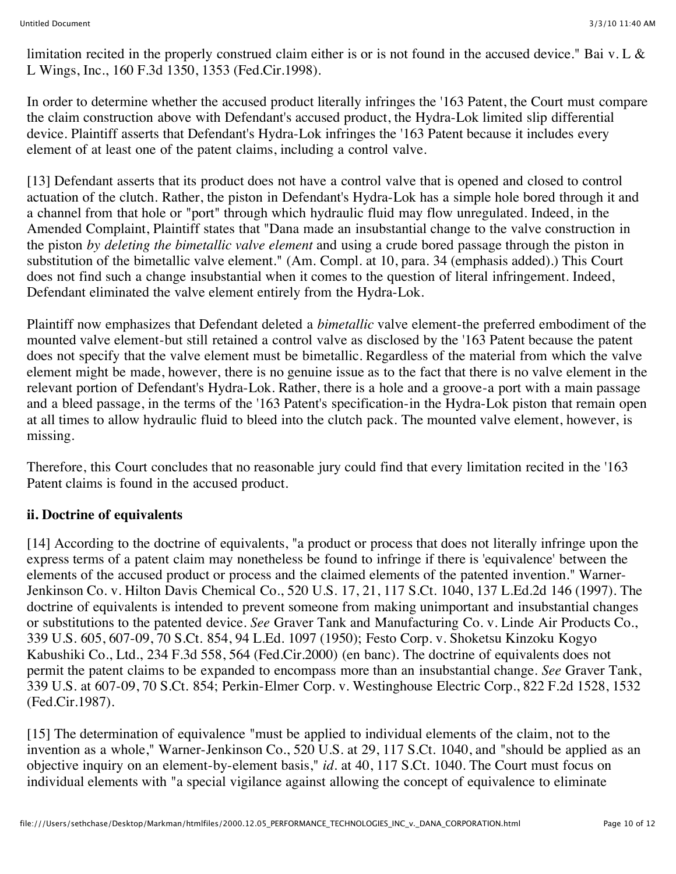limitation recited in the properly construed claim either is or is not found in the accused device." Bai v. L & L Wings, Inc., 160 F.3d 1350, 1353 (Fed.Cir.1998).

In order to determine whether the accused product literally infringes the '163 Patent, the Court must compare the claim construction above with Defendant's accused product, the Hydra-Lok limited slip differential device. Plaintiff asserts that Defendant's Hydra-Lok infringes the '163 Patent because it includes every element of at least one of the patent claims, including a control valve.

[13] Defendant asserts that its product does not have a control valve that is opened and closed to control actuation of the clutch. Rather, the piston in Defendant's Hydra-Lok has a simple hole bored through it and a channel from that hole or "port" through which hydraulic fluid may flow unregulated. Indeed, in the Amended Complaint, Plaintiff states that "Dana made an insubstantial change to the valve construction in the piston *by deleting the bimetallic valve element* and using a crude bored passage through the piston in substitution of the bimetallic valve element." (Am. Compl. at 10, para. 34 (emphasis added).) This Court does not find such a change insubstantial when it comes to the question of literal infringement. Indeed, Defendant eliminated the valve element entirely from the Hydra-Lok.

Plaintiff now emphasizes that Defendant deleted a *bimetallic* valve element-the preferred embodiment of the mounted valve element-but still retained a control valve as disclosed by the '163 Patent because the patent does not specify that the valve element must be bimetallic. Regardless of the material from which the valve element might be made, however, there is no genuine issue as to the fact that there is no valve element in the relevant portion of Defendant's Hydra-Lok. Rather, there is a hole and a groove-a port with a main passage and a bleed passage, in the terms of the '163 Patent's specification-in the Hydra-Lok piston that remain open at all times to allow hydraulic fluid to bleed into the clutch pack. The mounted valve element, however, is missing.

Therefore, this Court concludes that no reasonable jury could find that every limitation recited in the '163 Patent claims is found in the accused product.

## **ii. Doctrine of equivalents**

[14] According to the doctrine of equivalents, "a product or process that does not literally infringe upon the express terms of a patent claim may nonetheless be found to infringe if there is 'equivalence' between the elements of the accused product or process and the claimed elements of the patented invention." Warner-Jenkinson Co. v. Hilton Davis Chemical Co., 520 U.S. 17, 21, 117 S.Ct. 1040, 137 L.Ed.2d 146 (1997). The doctrine of equivalents is intended to prevent someone from making unimportant and insubstantial changes or substitutions to the patented device. *See* Graver Tank and Manufacturing Co. v. Linde Air Products Co., 339 U.S. 605, 607-09, 70 S.Ct. 854, 94 L.Ed. 1097 (1950); Festo Corp. v. Shoketsu Kinzoku Kogyo Kabushiki Co., Ltd., 234 F.3d 558, 564 (Fed.Cir.2000) (en banc). The doctrine of equivalents does not permit the patent claims to be expanded to encompass more than an insubstantial change. *See* Graver Tank, 339 U.S. at 607-09, 70 S.Ct. 854; Perkin-Elmer Corp. v. Westinghouse Electric Corp., 822 F.2d 1528, 1532 (Fed.Cir.1987).

[15] The determination of equivalence "must be applied to individual elements of the claim, not to the invention as a whole," Warner-Jenkinson Co., 520 U.S. at 29, 117 S.Ct. 1040, and "should be applied as an objective inquiry on an element-by-element basis," *id.* at 40, 117 S.Ct. 1040. The Court must focus on individual elements with "a special vigilance against allowing the concept of equivalence to eliminate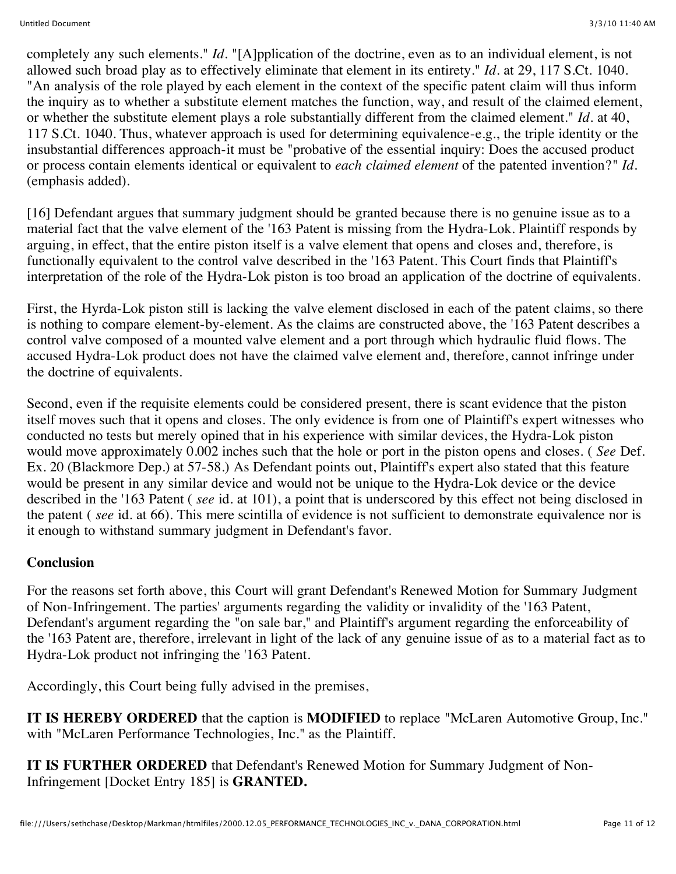completely any such elements." *Id.* "[A]pplication of the doctrine, even as to an individual element, is not allowed such broad play as to effectively eliminate that element in its entirety." *Id.* at 29, 117 S.Ct. 1040. "An analysis of the role played by each element in the context of the specific patent claim will thus inform the inquiry as to whether a substitute element matches the function, way, and result of the claimed element, or whether the substitute element plays a role substantially different from the claimed element." *Id.* at 40, 117 S.Ct. 1040. Thus, whatever approach is used for determining equivalence-e.g., the triple identity or the insubstantial differences approach-it must be "probative of the essential inquiry: Does the accused product or process contain elements identical or equivalent to *each claimed element* of the patented invention?" *Id.* (emphasis added).

[16] Defendant argues that summary judgment should be granted because there is no genuine issue as to a material fact that the valve element of the '163 Patent is missing from the Hydra-Lok. Plaintiff responds by arguing, in effect, that the entire piston itself is a valve element that opens and closes and, therefore, is functionally equivalent to the control valve described in the '163 Patent. This Court finds that Plaintiff's interpretation of the role of the Hydra-Lok piston is too broad an application of the doctrine of equivalents.

First, the Hyrda-Lok piston still is lacking the valve element disclosed in each of the patent claims, so there is nothing to compare element-by-element. As the claims are constructed above, the '163 Patent describes a control valve composed of a mounted valve element and a port through which hydraulic fluid flows. The accused Hydra-Lok product does not have the claimed valve element and, therefore, cannot infringe under the doctrine of equivalents.

Second, even if the requisite elements could be considered present, there is scant evidence that the piston itself moves such that it opens and closes. The only evidence is from one of Plaintiff's expert witnesses who conducted no tests but merely opined that in his experience with similar devices, the Hydra-Lok piston would move approximately 0.002 inches such that the hole or port in the piston opens and closes. ( *See* Def. Ex. 20 (Blackmore Dep.) at 57-58.) As Defendant points out, Plaintiff's expert also stated that this feature would be present in any similar device and would not be unique to the Hydra-Lok device or the device described in the '163 Patent ( *see* id. at 101), a point that is underscored by this effect not being disclosed in the patent ( *see* id. at 66). This mere scintilla of evidence is not sufficient to demonstrate equivalence nor is it enough to withstand summary judgment in Defendant's favor.

### **Conclusion**

For the reasons set forth above, this Court will grant Defendant's Renewed Motion for Summary Judgment of Non-Infringement. The parties' arguments regarding the validity or invalidity of the '163 Patent, Defendant's argument regarding the "on sale bar," and Plaintiff's argument regarding the enforceability of the '163 Patent are, therefore, irrelevant in light of the lack of any genuine issue of as to a material fact as to Hydra-Lok product not infringing the '163 Patent.

Accordingly, this Court being fully advised in the premises,

**IT IS HEREBY ORDERED** that the caption is **MODIFIED** to replace "McLaren Automotive Group, Inc." with "McLaren Performance Technologies, Inc." as the Plaintiff.

**IT IS FURTHER ORDERED** that Defendant's Renewed Motion for Summary Judgment of Non-Infringement [Docket Entry 185] is **GRANTED.**